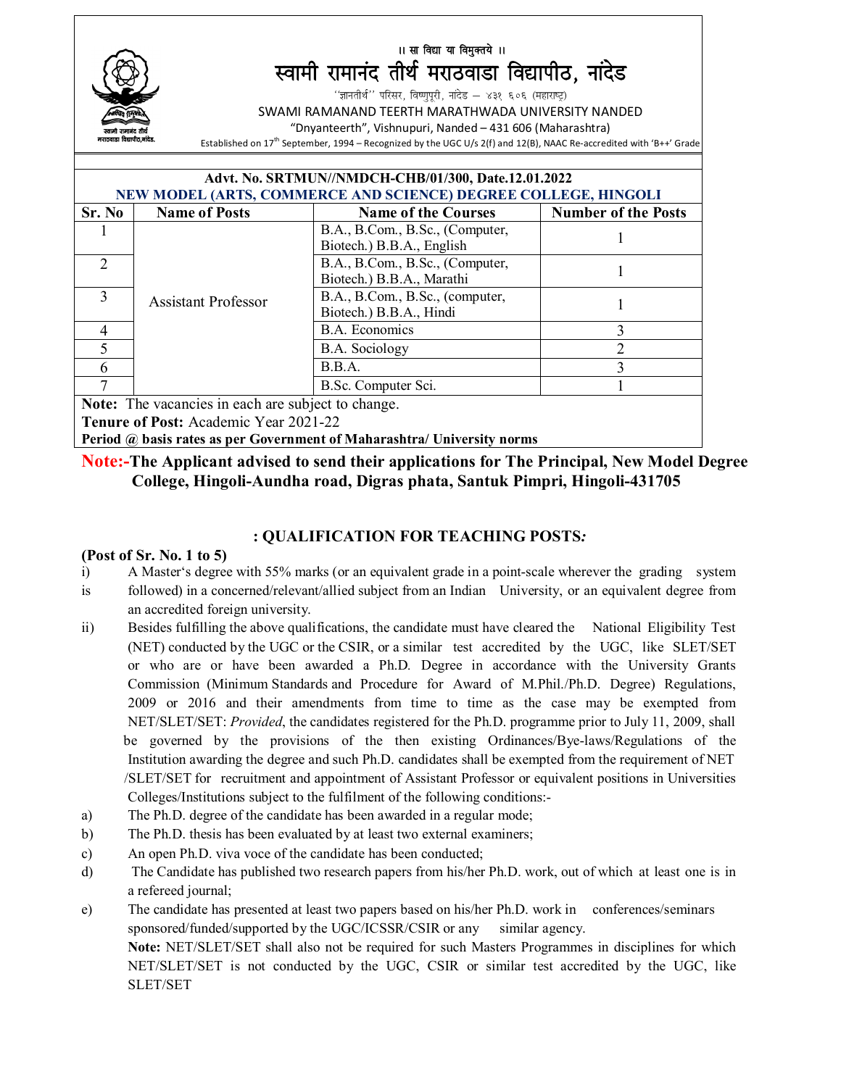।। सा विद्या या विमुक्तये ।।



स्वामी रामानंद तीर्थ मराठवाडा विद्यापीठ, नांदेड

''ज्ञानतीर्थ'' परिसर, विष्णुपूरी, नांदेड — ४३१ ६०६ (महाराष्ट्र)

SWAMI RAMANAND TEERTH MARATHWADA UNIVERSITY NANDED

"Dnyanteerth", Vishnupuri, Nanded – 431 606 (Maharashtra)

Established on  $17^{th}$  September, 1994 – Recognized by the UGC U/s 2(f) and 12(B), NAAC Re-accredited with 'B++' Grade

| <b>Advt. No. SRTMUN//NMDCH-CHB/01/300, Date.12.01.2022</b> |                                                                |                                                                         |                            |  |  |
|------------------------------------------------------------|----------------------------------------------------------------|-------------------------------------------------------------------------|----------------------------|--|--|
|                                                            | NEW MODEL (ARTS, COMMERCE AND SCIENCE) DEGREE COLLEGE, HINGOLI |                                                                         |                            |  |  |
| Sr. No                                                     | <b>Name of Posts</b>                                           | <b>Name of the Courses</b>                                              | <b>Number of the Posts</b> |  |  |
|                                                            |                                                                | B.A., B.Com., B.Sc., (Computer,<br>Biotech.) B.B.A., English            |                            |  |  |
| っ                                                          | Assistant Professor                                            | B.A., B.Com., B.Sc., (Computer,<br>Biotech.) B.B.A., Marathi            |                            |  |  |
| 3                                                          |                                                                | B.A., B.Com., B.Sc., (computer,<br>Biotech.) B.B.A., Hindi              |                            |  |  |
| 4                                                          |                                                                | B.A. Economics                                                          | 3                          |  |  |
| 5                                                          |                                                                | B.A. Sociology                                                          | ∍                          |  |  |
| 6                                                          |                                                                | B.B.A.                                                                  |                            |  |  |
|                                                            |                                                                | B.Sc. Computer Sci.                                                     |                            |  |  |
| Note: The vacancies in each are subject to change.         |                                                                |                                                                         |                            |  |  |
| Tenure of Post: Academic Year 2021-22                      |                                                                |                                                                         |                            |  |  |
|                                                            |                                                                | Period @ basis rates as per Government of Maharashtra/ University norms |                            |  |  |

# **Note:-The Applicant advised to send their applications for The Principal, New Model Degree College, Hingoli-Aundha road, Digras phata, Santuk Pimpri, Hingoli-431705**

# **: QUALIFICATION FOR TEACHING POSTS***:*

## **(Post of Sr. No. 1 to 5)**

- i) A Master's degree with 55% marks (or an equivalent grade in a point-scale wherever the grading system
- is followed) in a concerned/relevant/allied subject from an Indian University, or an equivalent degree from an accredited foreign university.
- ii) Besides fulfilling the above qualifications, the candidate must have cleared the National Eligibility Test (NET) conducted by the UGC or the CSIR, or a similar test accredited by the UGC, like SLET/SET or who are or have been awarded a Ph.D*.* Degree in accordance with the University Grants Commission (Minimum Standards and Procedure for Award of M.Phil./Ph.D. Degree) Regulations, 2009 or 2016 and their amendments from time to time as the case may be exempted from NET/SLET/SET: *Provided*, the candidates registered for the Ph.D. programme prior to July 11, 2009, shall be governed by the provisions of the then existing Ordinances/Bye-laws/Regulations of the Institution awarding the degree and such Ph.D. candidates shall be exempted from the requirement of NET /SLET/SET for recruitment and appointment of Assistant Professor or equivalent positions in Universities Colleges/Institutions subject to the fulfilment of the following conditions:-
- a) The Ph.D. degree of the candidate has been awarded in a regular mode;
- b) The Ph.D. thesis has been evaluated by at least two external examiners;
- c) An open Ph.D. viva voce of the candidate has been conducted;
- d) The Candidate has published two research papers from his/her Ph.D. work, out of which at least one is in a refereed journal;
- e) The candidate has presented at least two papers based on his/her Ph.D. work in conferences/seminars sponsored/funded/supported by the UGC/ICSSR/CSIR or any similar agency.

**Note:** NET/SLET/SET shall also not be required for such Masters Programmes in disciplines for which NET/SLET/SET is not conducted by the UGC, CSIR or similar test accredited by the UGC, like SLET/SET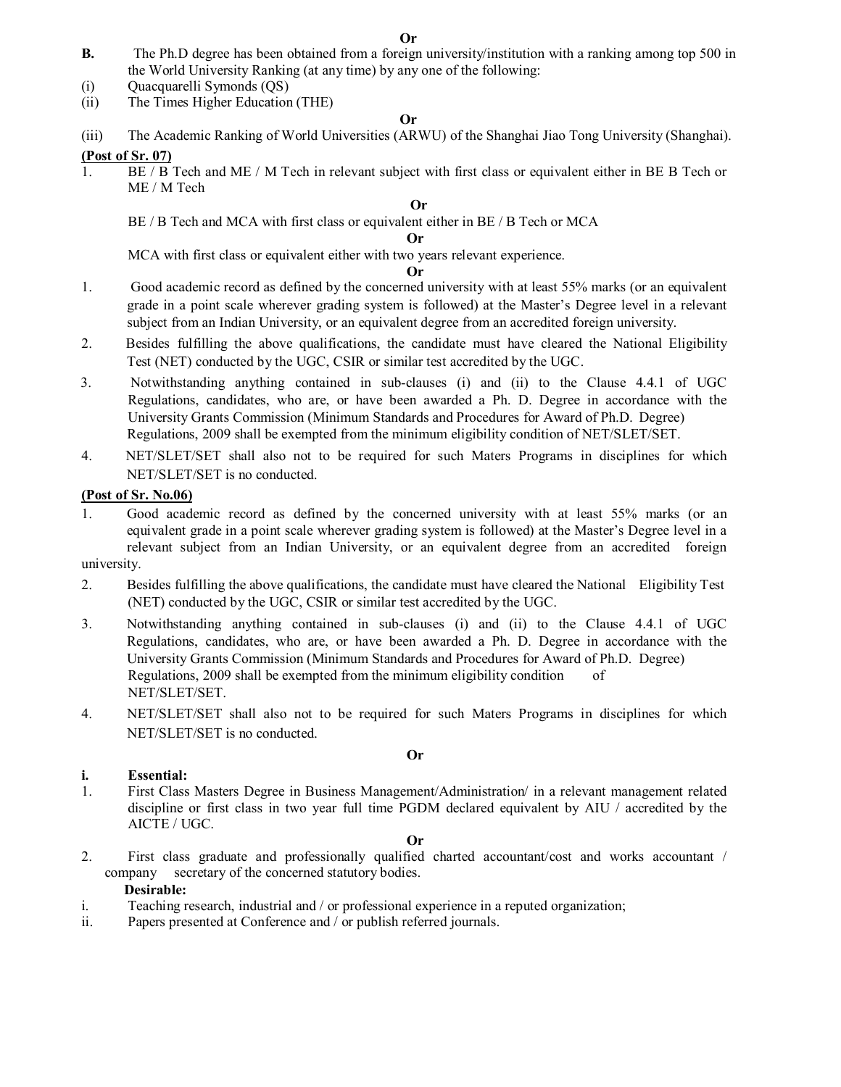#### **Or**

- **B.** The Ph.D degree has been obtained from a foreign university/institution with a ranking among top 500 in the World University Ranking (at any time) by any one of the following:
- (i) Quacquarelli Symonds (QS)
- (ii) The Times Higher Education (THE)

#### **Or**

(iii) The Academic Ranking of World Universities (ARWU) of the Shanghai Jiao Tong University (Shanghai).

## **(Post of Sr. 07)**

1. BE / B Tech and ME / M Tech in relevant subject with first class or equivalent either in BE B Tech or ME / M Tech

#### **Or**

BE / B Tech and MCA with first class or equivalent either in BE / B Tech or MCA

#### **Or**

MCA with first class or equivalent either with two years relevant experience.

#### **Or**

- 1. Good academic record as defined by the concerned university with at least 55% marks (or an equivalent grade in a point scale wherever grading system is followed) at the Master's Degree level in a relevant subject from an Indian University, or an equivalent degree from an accredited foreign university.
- 2. Besides fulfilling the above qualifications, the candidate must have cleared the National Eligibility Test (NET) conducted by the UGC, CSIR or similar test accredited by the UGC.
- 3. Notwithstanding anything contained in sub-clauses (i) and (ii) to the Clause 4.4.1 of UGC Regulations, candidates, who are, or have been awarded a Ph. D. Degree in accordance with the University Grants Commission (Minimum Standards and Procedures for Award of Ph.D. Degree) Regulations, 2009 shall be exempted from the minimum eligibility condition of NET/SLET/SET.
- 4. NET/SLET/SET shall also not to be required for such Maters Programs in disciplines for which NET/SLET/SET is no conducted.

#### **(Post of Sr. No.06)**

- 1. Good academic record as defined by the concerned university with at least 55% marks (or an equivalent grade in a point scale wherever grading system is followed) at the Master's Degree level in a relevant subject from an Indian University, or an equivalent degree from an accredited foreign
- university.
- 2. Besides fulfilling the above qualifications, the candidate must have cleared the National Eligibility Test (NET) conducted by the UGC, CSIR or similar test accredited by the UGC.
- 3. Notwithstanding anything contained in sub-clauses (i) and (ii) to the Clause 4.4.1 of UGC Regulations, candidates, who are, or have been awarded a Ph. D. Degree in accordance with the University Grants Commission (Minimum Standards and Procedures for Award of Ph.D. Degree) Regulations, 2009 shall be exempted from the minimum eligibility condition of NET/SLET/SET.
- 4. NET/SLET/SET shall also not to be required for such Maters Programs in disciplines for which NET/SLET/SET is no conducted.

#### **Or**

# **i. Essential:**

1. First Class Masters Degree in Business Management/Administration/ in a relevant management related discipline or first class in two year full time PGDM declared equivalent by AIU / accredited by the AICTE / UGC.

#### **Or**

2. First class graduate and professionally qualified charted accountant/cost and works accountant / company secretary of the concerned statutory bodies.

- **Desirable:**<br>i. Teaching r Teaching research, industrial and / or professional experience in a reputed organization;
- ii. Papers presented at Conference and / or publish referred journals.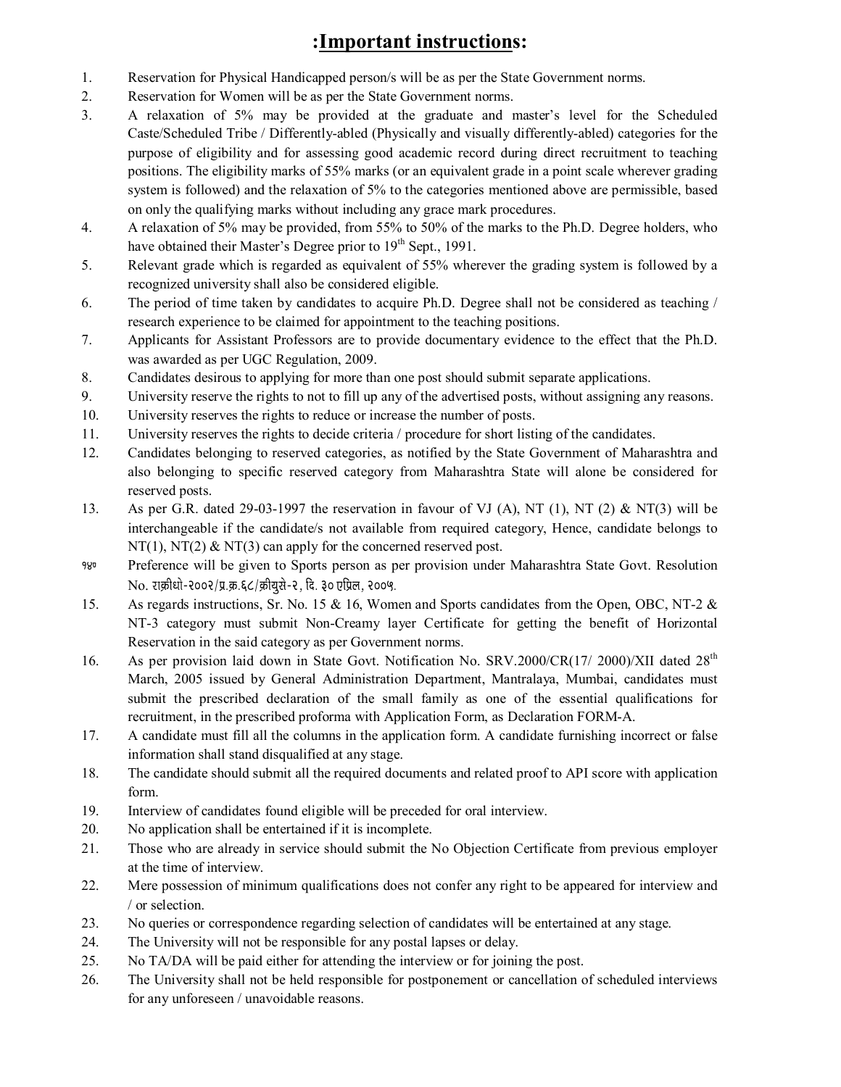# **:Important instructions:**

- 1. Reservation for Physical Handicapped person/s will be as per the State Government norms.
- 2. Reservation for Women will be as per the State Government norms.
- 3. A relaxation of 5% may be provided at the graduate and master's level for the Scheduled Caste/Scheduled Tribe / Differently-abled (Physically and visually differently-abled) categories for the purpose of eligibility and for assessing good academic record during direct recruitment to teaching positions. The eligibility marks of 55% marks (or an equivalent grade in a point scale wherever grading system is followed) and the relaxation of 5% to the categories mentioned above are permissible, based on only the qualifying marks without including any grace mark procedures.
- 4. A relaxation of 5% may be provided, from 55% to 50% of the marks to the Ph.D. Degree holders, who have obtained their Master's Degree prior to 19<sup>th</sup> Sept., 1991.
- 5. Relevant grade which is regarded as equivalent of 55% wherever the grading system is followed by a recognized university shall also be considered eligible.
- 6. The period of time taken by candidates to acquire Ph.D. Degree shall not be considered as teaching / research experience to be claimed for appointment to the teaching positions.
- 7. Applicants for Assistant Professors are to provide documentary evidence to the effect that the Ph.D. was awarded as per UGC Regulation, 2009.
- 8. Candidates desirous to applying for more than one post should submit separate applications.
- 9. University reserve the rights to not to fill up any of the advertised posts, without assigning any reasons.
- 10. University reserves the rights to reduce or increase the number of posts.
- 11. University reserves the rights to decide criteria / procedure for short listing of the candidates.
- 12. Candidates belonging to reserved categories, as notified by the State Government of Maharashtra and also belonging to specific reserved category from Maharashtra State will alone be considered for reserved posts.
- 13. As per G.R. dated 29-03-1997 the reservation in favour of VJ (A), NT (1), NT (2) & NT(3) will be interchangeable if the candidate/s not available from required category, Hence, candidate belongs to  $NT(1)$ ,  $NT(2)$  &  $NT(3)$  can apply for the concerned reserved post.
- 14. Preference will be given to Sports person as per provision under Maharashtra State Govt. Resolution No. राक्रीधो-२००२/प्र.क्र.६८/क्रीयुसे-२, दि. ३० एप्रिल, २००५.
- 15. As regards instructions, Sr. No. 15 & 16, Women and Sports candidates from the Open, OBC, NT-2 & NT-3 category must submit Non-Creamy layer Certificate for getting the benefit of Horizontal Reservation in the said category as per Government norms.
- 16. As per provision laid down in State Govt. Notification No. SRV.2000/CR(17/ 2000)/XII dated 28<sup>th</sup> March, 2005 issued by General Administration Department, Mantralaya, Mumbai, candidates must submit the prescribed declaration of the small family as one of the essential qualifications for recruitment, in the prescribed proforma with Application Form, as Declaration FORM-A.
- 17. A candidate must fill all the columns in the application form. A candidate furnishing incorrect or false information shall stand disqualified at any stage.
- 18. The candidate should submit all the required documents and related proof to API score with application form.
- 19. Interview of candidates found eligible will be preceded for oral interview.
- 20. No application shall be entertained if it is incomplete.
- 21. Those who are already in service should submit the No Objection Certificate from previous employer at the time of interview.
- 22. Mere possession of minimum qualifications does not confer any right to be appeared for interview and / or selection.
- 23. No queries or correspondence regarding selection of candidates will be entertained at any stage.
- 24. The University will not be responsible for any postal lapses or delay.
- 25. No TA/DA will be paid either for attending the interview or for joining the post.
- 26. The University shall not be held responsible for postponement or cancellation of scheduled interviews for any unforeseen / unavoidable reasons.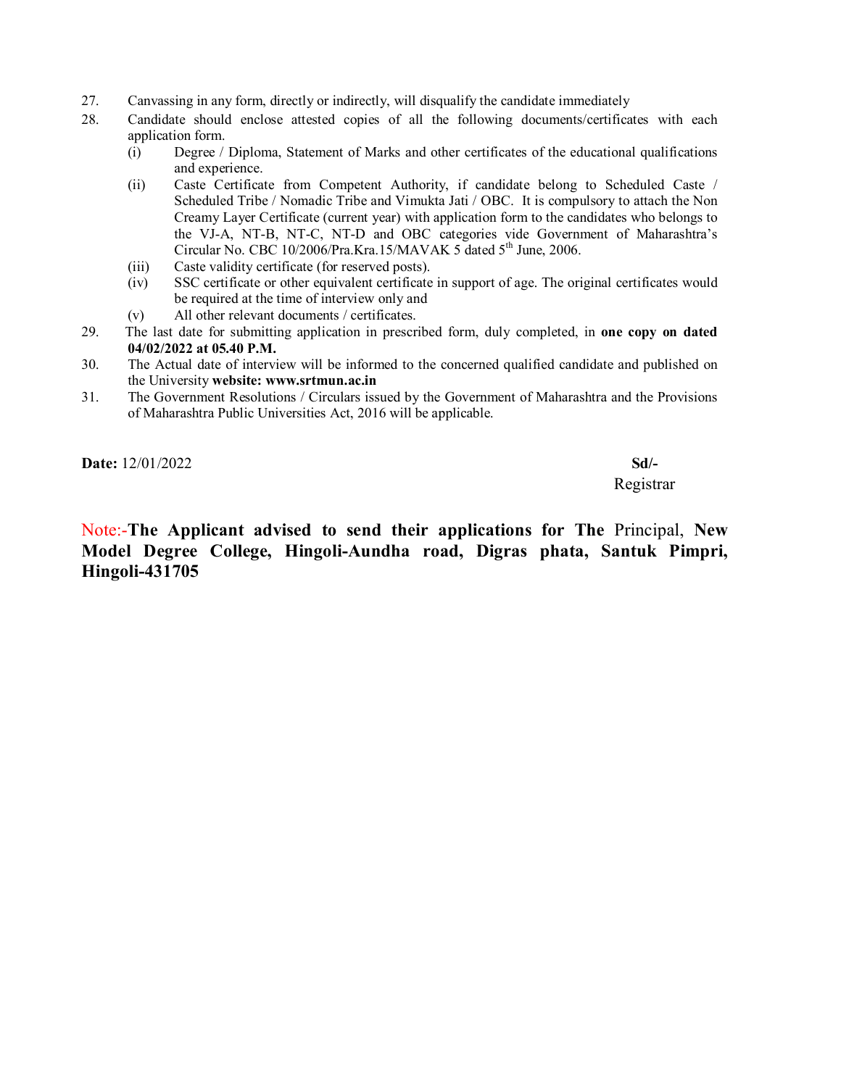- 27. Canvassing in any form, directly or indirectly, will disqualify the candidate immediately
- 28. Candidate should enclose attested copies of all the following documents/certificates with each application form.
	- (i) Degree / Diploma, Statement of Marks and other certificates of the educational qualifications and experience.
	- (ii) Caste Certificate from Competent Authority, if candidate belong to Scheduled Caste / Scheduled Tribe / Nomadic Tribe and Vimukta Jati / OBC. It is compulsory to attach the Non Creamy Layer Certificate (current year) with application form to the candidates who belongs to the VJ-A, NT-B, NT-C, NT-D and OBC categories vide Government of Maharashtra's Circular No. CBC 10/2006/Pra.Kra.15/MAVAK 5 dated 5<sup>th</sup> June, 2006.
	- (iii) Caste validity certificate (for reserved posts).
	- (iv) SSC certificate or other equivalent certificate in support of age. The original certificates would be required at the time of interview only and
	- (v) All other relevant documents / certificates.
- 29. The last date for submitting application in prescribed form, duly completed, in **one copy on dated 04/02/2022 at 05.40 P.M.**
- 30. The Actual date of interview will be informed to the concerned qualified candidate and published on the University **website: [www.srtmun.ac.in](http://www.srtmun.ac.in)**
- 31. The Government Resolutions / Circulars issued by the Government of Maharashtra and the Provisions of Maharashtra Public Universities Act, 2016 will be applicable.

**Date:**  $12/01/2022$  **Sd/-**

Registrar

Note:-**The Applicant advised to send their applications for The** Principal, **New Model Degree College, Hingoli-Aundha road, Digras phata, Santuk Pimpri, Hingoli-431705**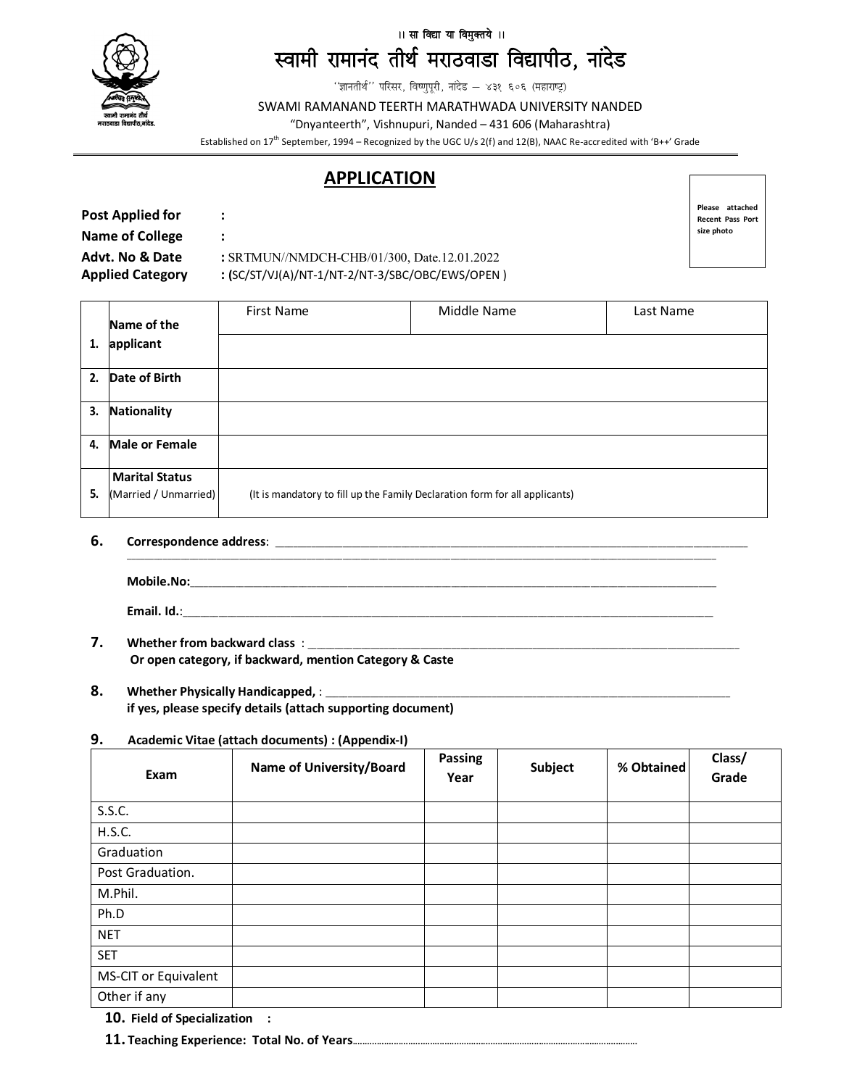

# $||$  सा विद्या या विमुक्तये ।। स्वामी रामानंद तीर्थ मराठवाडा विद्यापीठ, नांदेड

 $^\prime$ 'ज्ञानतीर्थ'' परिसर, विष्णुपूरी, नांदेड — ४३१ ६०६ (महाराष्ट्र)

SWAMI RAMANAND TEERTH MARATHWADA UNIVERSITY NANDED

"Dnyanteerth", Vishnupuri, Nanded – 431 606 (Maharashtra)

Established on  $17^{th}$  September, 1994 – Recognized by the UGC U/s 2(f) and 12(B), NAAC Re-accredited with 'B++' Grade

# **APPLICATION**

| <b>Post Applied for</b>    | :                                               |
|----------------------------|-------------------------------------------------|
| Name of College            | ÷                                               |
| <b>Advt. No &amp; Date</b> | : SRTMUN//NMDCH-CHB/01/300, Date.12.01.2022     |
| <b>Applied Category</b>    | : (SC/ST/VJ(A)/NT-1/NT-2/NT-3/SBC/OBC/EWS/OPEN) |

**1. applicant Name of the**  First Name **Middle Name** Last Name **2. Date of Birth 3. Nationality 4. Male or Female 5. Marital Status**   $(Married / Unmarried)$  (It is mandatory to fill up the Family Declaration form for all applicants)

#### **6. Correspondence address**: \_\_\_\_\_\_\_\_\_\_\_\_\_\_\_\_\_\_\_\_\_\_\_\_\_\_\_\_\_\_\_\_\_\_\_\_\_\_\_\_\_\_\_\_\_\_\_\_\_\_\_\_\_\_\_\_\_\_\_\_\_\_\_\_\_\_\_\_\_\_\_\_\_\_\_\_\_\_\_\_\_\_\_\_\_\_\_\_\_\_\_\_\_\_\_\_\_\_\_\_\_\_\_\_\_

| Mobile.No:<br>_______                   |  |
|-----------------------------------------|--|
| Email. Id.:<br>$\overline{\phantom{a}}$ |  |

\_\_\_\_\_\_\_\_\_\_\_\_\_\_\_\_\_\_\_\_\_\_\_\_\_\_\_\_\_\_\_\_\_\_\_\_\_\_\_\_\_\_\_\_\_\_\_\_\_\_\_\_\_\_\_\_\_\_\_\_\_\_\_\_\_\_\_\_\_\_\_\_\_\_\_\_\_\_\_\_\_\_\_\_\_\_\_\_\_\_\_\_\_\_\_\_\_\_\_\_\_\_\_\_\_\_\_\_\_\_\_\_\_\_\_\_\_\_\_\_\_\_\_\_\_\_\_\_\_\_\_

#### **7.** Whether from backward class : **Or open category, if backward, mention Category & Caste**

#### **8.** Whether Physically Handicapped, : **if yes, please specify details (attach supporting document)**

#### **9. Academic Vitae (attach documents) : (Appendix-I)**

| Exam                 | <b>Name of University/Board</b> | Passing<br>Year | Subject | % Obtained | Class/<br>Grade |
|----------------------|---------------------------------|-----------------|---------|------------|-----------------|
| S.S.C.               |                                 |                 |         |            |                 |
| H.S.C.               |                                 |                 |         |            |                 |
| Graduation           |                                 |                 |         |            |                 |
| Post Graduation.     |                                 |                 |         |            |                 |
| M.Phil.              |                                 |                 |         |            |                 |
| Ph.D                 |                                 |                 |         |            |                 |
| <b>NET</b>           |                                 |                 |         |            |                 |
| <b>SET</b>           |                                 |                 |         |            |                 |
| MS-CIT or Equivalent |                                 |                 |         |            |                 |
| Other if any         |                                 |                 |         |            |                 |

**10. Field of Specialization :**

**11. Teaching Experience: Total No. of Years......................................................................................................................**

**Please attached Recent Pass Port size photo**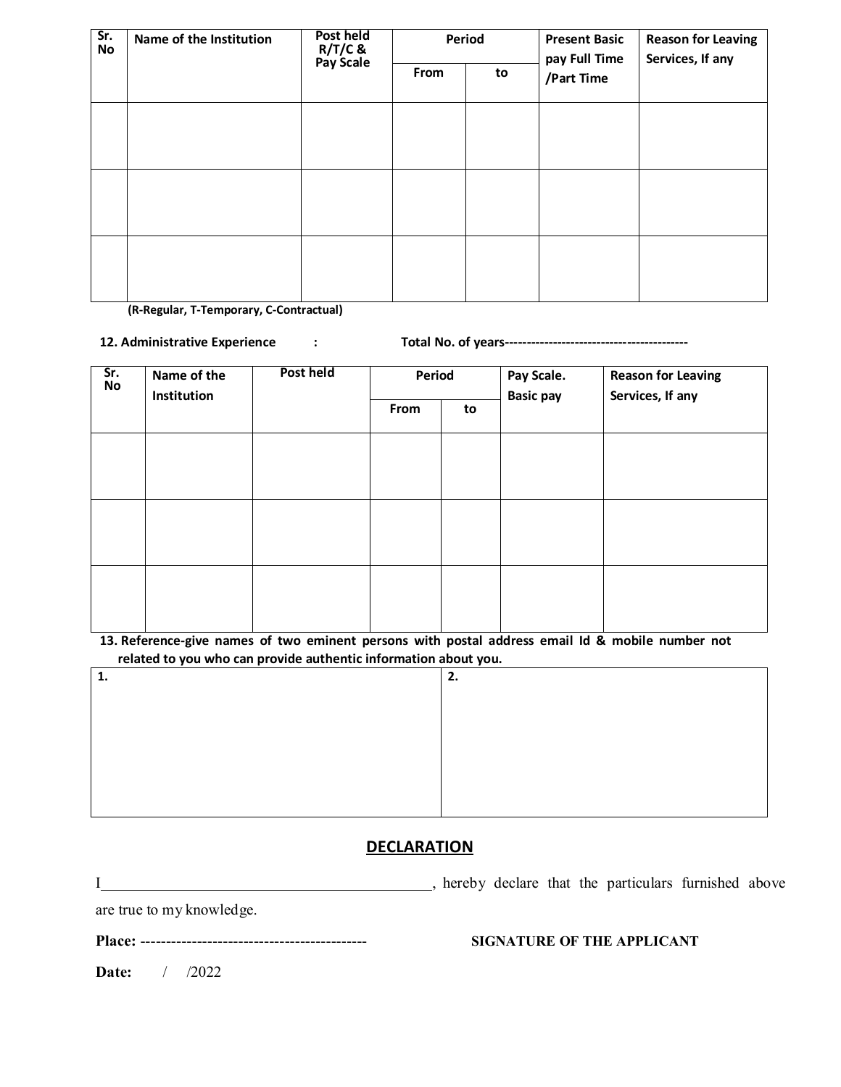| Sr.<br><b>No</b> | Name of the Institution | Post held<br>Period<br>R/T/C &<br>Pay Scale |      |    | <b>Present Basic</b><br>pay Full Time | <b>Reason for Leaving</b><br>Services, If any |
|------------------|-------------------------|---------------------------------------------|------|----|---------------------------------------|-----------------------------------------------|
|                  |                         |                                             | From | to | /Part Time                            |                                               |
|                  |                         |                                             |      |    |                                       |                                               |
|                  |                         |                                             |      |    |                                       |                                               |
|                  |                         |                                             |      |    |                                       |                                               |
|                  |                         |                                             |      |    |                                       |                                               |
|                  |                         |                                             |      |    |                                       |                                               |
|                  |                         |                                             |      |    |                                       |                                               |

**(R-Regular, T-Temporary, C-Contractual)**

## **12. Administrative Experience : Total No. of years------------------------------------------**

| Sr.<br>No | Name of the<br>Institution | Post held | Period |    | Pay Scale.<br><b>Basic pay</b> | <b>Reason for Leaving</b><br>Services, If any |  |
|-----------|----------------------------|-----------|--------|----|--------------------------------|-----------------------------------------------|--|
|           |                            |           | From   | to |                                |                                               |  |
|           |                            |           |        |    |                                |                                               |  |
|           |                            |           |        |    |                                |                                               |  |
|           |                            |           |        |    |                                |                                               |  |
|           |                            |           |        |    |                                |                                               |  |
|           |                            |           |        |    |                                |                                               |  |
|           |                            |           |        |    |                                |                                               |  |

**13. Reference-give names of two eminent persons with postal address email Id & mobile number not related to you who can provide authentic information about you.** 

| 1<br> | C<br> |
|-------|-------|
|       |       |
|       |       |
|       |       |
|       |       |
|       |       |
|       |       |

## **DECLARATION**

I , hereby declare that the particulars furnished above are true to my knowledge.

**Place:** -------------------------------------------- **SIGNATURE OF THE APPLICANT** 

**Date:** / /2022